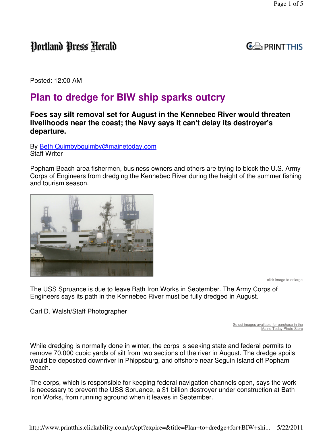# Portland Press Herald



Posted: 12:00 AM

## **Plan to dredge for BIW ship sparks outcry**

### **Foes say silt removal set for August in the Kennebec River would threaten livelihoods near the coast; the Navy says it can't delay its destroyer's departure.**

By Beth Quimbybquimby@mainetoday.com Staff Writer

Popham Beach area fishermen, business owners and others are trying to block the U.S. Army Corps of Engineers from dredging the Kennebec River during the height of the summer fishing and tourism season.



click image to enlarge

The USS Spruance is due to leave Bath Iron Works in September. The Army Corps of Engineers says its path in the Kennebec River must be fully dredged in August.

Carl D. Walsh/Staff Photographer

Select images available for purchase in the Maine Today Photo Store

While dredging is normally done in winter, the corps is seeking state and federal permits to remove 70,000 cubic yards of silt from two sections of the river in August. The dredge spoils would be deposited downriver in Phippsburg, and offshore near Seguin Island off Popham Beach.

The corps, which is responsible for keeping federal navigation channels open, says the work is necessary to prevent the USS Spruance, a \$1 billion destroyer under construction at Bath Iron Works, from running aground when it leaves in September.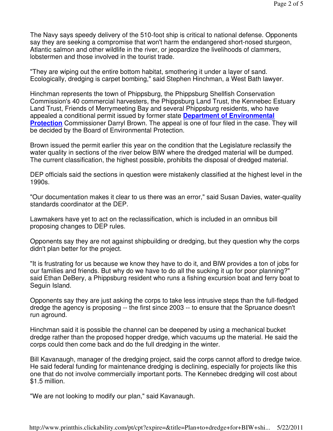The Navy says speedy delivery of the 510-foot ship is critical to national defense. Opponents say they are seeking a compromise that won't harm the endangered short-nosed sturgeon, Atlantic salmon and other wildlife in the river, or jeopardize the livelihoods of clammers, lobstermen and those involved in the tourist trade.

"They are wiping out the entire bottom habitat, smothering it under a layer of sand. Ecologically, dredging is carpet bombing," said Stephen Hinchman, a West Bath lawyer.

Hinchman represents the town of Phippsburg, the Phippsburg Shellfish Conservation Commission's 40 commercial harvesters, the Phippsburg Land Trust, the Kennebec Estuary Land Trust, Friends of Merrymeeting Bay and several Phippsburg residents, who have appealed a conditional permit issued by former state **Department of Environmental Protection** Commissioner Darryl Brown. The appeal is one of four filed in the case. They will be decided by the Board of Environmental Protection.

Brown issued the permit earlier this year on the condition that the Legislature reclassify the water quality in sections of the river below BIW where the dredged material will be dumped. The current classification, the highest possible, prohibits the disposal of dredged material.

DEP officials said the sections in question were mistakenly classified at the highest level in the 1990s.

"Our documentation makes it clear to us there was an error," said Susan Davies, water-quality standards coordinator at the DEP.

Lawmakers have yet to act on the reclassification, which is included in an omnibus bill proposing changes to DEP rules.

Opponents say they are not against shipbuilding or dredging, but they question why the corps didn't plan better for the project.

"It is frustrating for us because we know they have to do it, and BIW provides a ton of jobs for our families and friends. But why do we have to do all the sucking it up for poor planning?" said Ethan DeBery, a Phippsburg resident who runs a fishing excursion boat and ferry boat to Seguin Island.

Opponents say they are just asking the corps to take less intrusive steps than the full-fledged dredge the agency is proposing -- the first since 2003 -- to ensure that the Spruance doesn't run aground.

Hinchman said it is possible the channel can be deepened by using a mechanical bucket dredge rather than the proposed hopper dredge, which vacuums up the material. He said the corps could then come back and do the full dredging in the winter.

Bill Kavanaugh, manager of the dredging project, said the corps cannot afford to dredge twice. He said federal funding for maintenance dredging is declining, especially for projects like this one that do not involve commercially important ports. The Kennebec dredging will cost about \$1.5 million.

"We are not looking to modify our plan," said Kavanaugh.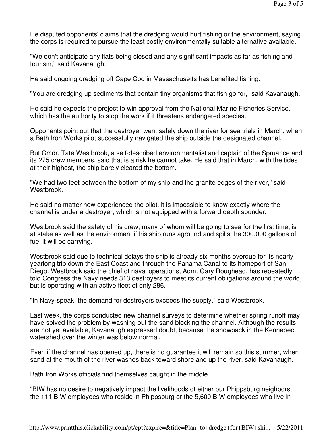He disputed opponents' claims that the dredging would hurt fishing or the environment, saying the corps is required to pursue the least costly environmentally suitable alternative available.

"We don't anticipate any flats being closed and any significant impacts as far as fishing and tourism," said Kavanaugh.

He said ongoing dredging off Cape Cod in Massachusetts has benefited fishing.

"You are dredging up sediments that contain tiny organisms that fish go for," said Kavanaugh.

He said he expects the project to win approval from the National Marine Fisheries Service, which has the authority to stop the work if it threatens endangered species.

Opponents point out that the destroyer went safely down the river for sea trials in March, when a Bath Iron Works pilot successfully navigated the ship outside the designated channel.

But Cmdr. Tate Westbrook, a self-described environmentalist and captain of the Spruance and its 275 crew members, said that is a risk he cannot take. He said that in March, with the tides at their highest, the ship barely cleared the bottom.

"We had two feet between the bottom of my ship and the granite edges of the river," said Westbrook.

He said no matter how experienced the pilot, it is impossible to know exactly where the channel is under a destroyer, which is not equipped with a forward depth sounder.

Westbrook said the safety of his crew, many of whom will be going to sea for the first time, is at stake as well as the environment if his ship runs aground and spills the 300,000 gallons of fuel it will be carrying.

Westbrook said due to technical delays the ship is already six months overdue for its nearly yearlong trip down the East Coast and through the Panama Canal to its homeport of San Diego. Westbrook said the chief of naval operations, Adm. Gary Roughead, has repeatedly told Congress the Navy needs 313 destroyers to meet its current obligations around the world, but is operating with an active fleet of only 286.

"In Navy-speak, the demand for destroyers exceeds the supply," said Westbrook.

Last week, the corps conducted new channel surveys to determine whether spring runoff may have solved the problem by washing out the sand blocking the channel. Although the results are not yet available, Kavanaugh expressed doubt, because the snowpack in the Kennebec watershed over the winter was below normal.

Even if the channel has opened up, there is no guarantee it will remain so this summer, when sand at the mouth of the river washes back toward shore and up the river, said Kavanaugh.

Bath Iron Works officials find themselves caught in the middle.

"BIW has no desire to negatively impact the livelihoods of either our Phippsburg neighbors, the 111 BIW employees who reside in Phippsburg or the 5,600 BIW employees who live in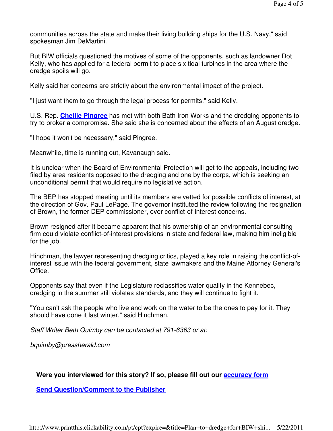communities across the state and make their living building ships for the U.S. Navy," said spokesman Jim DeMartini.

But BIW officials questioned the motives of some of the opponents, such as landowner Dot Kelly, who has applied for a federal permit to place six tidal turbines in the area where the dredge spoils will go.

Kelly said her concerns are strictly about the environmental impact of the project.

"I just want them to go through the legal process for permits," said Kelly.

U.S. Rep. **Chellie Pingree** has met with both Bath Iron Works and the dredging opponents to try to broker a compromise. She said she is concerned about the effects of an August dredge.

"I hope it won't be necessary," said Pingree.

Meanwhile, time is running out, Kavanaugh said.

It is unclear when the Board of Environmental Protection will get to the appeals, including two filed by area residents opposed to the dredging and one by the corps, which is seeking an unconditional permit that would require no legislative action.

The BEP has stopped meeting until its members are vetted for possible conflicts of interest, at the direction of Gov. Paul LePage. The governor instituted the review following the resignation of Brown, the former DEP commissioner, over conflict-of-interest concerns.

Brown resigned after it became apparent that his ownership of an environmental consulting firm could violate conflict-of-interest provisions in state and federal law, making him ineligible for the job.

Hinchman, the lawyer representing dredging critics, played a key role in raising the conflict-ofinterest issue with the federal government, state lawmakers and the Maine Attorney General's Office.

Opponents say that even if the Legislature reclassifies water quality in the Kennebec, dredging in the summer still violates standards, and they will continue to fight it.

"You can't ask the people who live and work on the water to be the ones to pay for it. They should have done it last winter," said Hinchman.

Staff Writer Beth Quimby can be contacted at 791-6363 or at:

bquimby@pressherald.com

### **Were you interviewed for this story? If so, please fill out our accuracy form**

**Send Question/Comment to the Publisher**